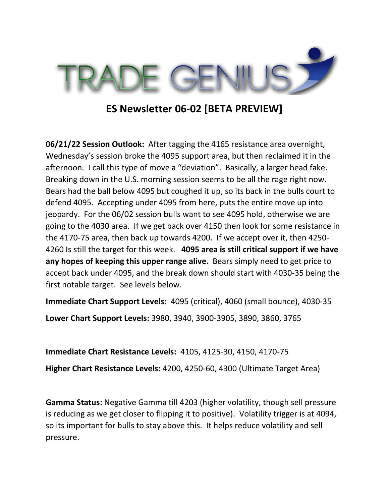

## **ES Newsletter 06-02 [BETA PREVIEW]**

**06/21/22 Session Outlook:** After tagging the 4165 resistance area overnight, Wednesday's session broke the 4095 support area, but then reclaimed it in the afternoon. I call this type of move a "deviation". Basically, a larger head fake. Breaking down in the U.S. morning session seems to be all the rage right now. Bears had the ball below 4095 but coughed it up, so its back in the bulls court to defend 4095. Accepting under 4095 from here, puts the entire move up into jeopardy. For the 06/02 session bulls want to see 4095 hold, otherwise we are going to the 4030 area. If we get back over 4150 then look for some resistance in the 4170-75 area, then back up towards 4200. If we accept over it, then 4250- 4260 Is still the target for this week. **4095 area is still critical support if we have any hopes of keeping this upper range alive.** Bears simply need to get price to accept back under 4095, and the break down should start with 4030-35 being the first notable target. See levels below.

**Immediate Chart Support Levels:** 4095 (critical), 4060 (small bounce), 4030-35

**Lower Chart Support Levels:** 3980, 3940, 3900-3905, 3890, 3860, 3765

**Immediate Chart Resistance Levels:** 4105, 4125-30, 4150, 4170-75 **Higher Chart Resistance Levels:** 4200, 4250-60, 4300 (Ultimate Target Area)

**Gamma Status:** Negative Gamma till 4203 (higher volatility, though sell pressure is reducing as we get closer to flipping it to positive). Volatility trigger is at 4094, so its important for bulls to stay above this. It helps reduce volatility and sell pressure.